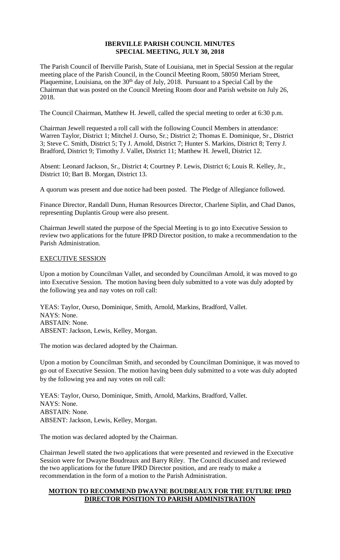## **IBERVILLE PARISH COUNCIL MINUTES SPECIAL MEETING, JULY 30, 2018**

The Parish Council of Iberville Parish, State of Louisiana, met in Special Session at the regular meeting place of the Parish Council, in the Council Meeting Room, 58050 Meriam Street, Plaquemine, Louisiana, on the 30<sup>th</sup> day of July, 2018. Pursuant to a Special Call by the Chairman that was posted on the Council Meeting Room door and Parish website on July 26, 2018.

The Council Chairman, Matthew H. Jewell, called the special meeting to order at 6:30 p.m.

Chairman Jewell requested a roll call with the following Council Members in attendance: Warren Taylor, District 1; Mitchel J. Ourso, Sr.; District 2; Thomas E. Dominique, Sr., District 3; Steve C. Smith, District 5; Ty J. Arnold, District 7; Hunter S. Markins, District 8; Terry J. Bradford, District 9; Timothy J. Vallet, District 11; Matthew H. Jewell, District 12.

Absent: Leonard Jackson, Sr., District 4; Courtney P. Lewis, District 6; Louis R. Kelley, Jr., District 10; Bart B. Morgan, District 13.

A quorum was present and due notice had been posted. The Pledge of Allegiance followed.

Finance Director, Randall Dunn, Human Resources Director, Charlene Siplin, and Chad Danos, representing Duplantis Group were also present.

Chairman Jewell stated the purpose of the Special Meeting is to go into Executive Session to review two applications for the future IPRD Director position, to make a recommendation to the Parish Administration.

## EXECUTIVE SESSION

Upon a motion by Councilman Vallet, and seconded by Councilman Arnold, it was moved to go into Executive Session. The motion having been duly submitted to a vote was duly adopted by the following yea and nay votes on roll call:

YEAS: Taylor, Ourso, Dominique, Smith, Arnold, Markins, Bradford, Vallet. NAYS: None. ABSTAIN: None. ABSENT: Jackson, Lewis, Kelley, Morgan.

The motion was declared adopted by the Chairman.

Upon a motion by Councilman Smith, and seconded by Councilman Dominique, it was moved to go out of Executive Session. The motion having been duly submitted to a vote was duly adopted by the following yea and nay votes on roll call:

YEAS: Taylor, Ourso, Dominique, Smith, Arnold, Markins, Bradford, Vallet. NAYS: None. ABSTAIN: None. ABSENT: Jackson, Lewis, Kelley, Morgan.

The motion was declared adopted by the Chairman.

Chairman Jewell stated the two applications that were presented and reviewed in the Executive Session were for Dwayne Boudreaux and Barry Riley. The Council discussed and reviewed the two applications for the future IPRD Director position, and are ready to make a recommendation in the form of a motion to the Parish Administration.

## **MOTION TO RECOMMEND DWAYNE BOUDREAUX FOR THE FUTURE IPRD DIRECTOR POSITION TO PARISH ADMINISTRATION**